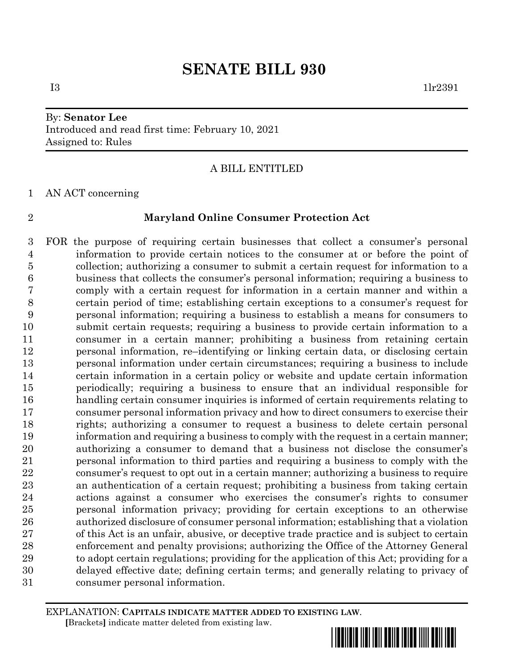# By: **Senator Lee** Introduced and read first time: February 10, 2021 Assigned to: Rules

## A BILL ENTITLED

AN ACT concerning

### **Maryland Online Consumer Protection Act**

 FOR the purpose of requiring certain businesses that collect a consumer's personal information to provide certain notices to the consumer at or before the point of collection; authorizing a consumer to submit a certain request for information to a business that collects the consumer's personal information; requiring a business to comply with a certain request for information in a certain manner and within a certain period of time; establishing certain exceptions to a consumer's request for personal information; requiring a business to establish a means for consumers to submit certain requests; requiring a business to provide certain information to a consumer in a certain manner; prohibiting a business from retaining certain personal information, re–identifying or linking certain data, or disclosing certain personal information under certain circumstances; requiring a business to include certain information in a certain policy or website and update certain information periodically; requiring a business to ensure that an individual responsible for handling certain consumer inquiries is informed of certain requirements relating to consumer personal information privacy and how to direct consumers to exercise their rights; authorizing a consumer to request a business to delete certain personal information and requiring a business to comply with the request in a certain manner; authorizing a consumer to demand that a business not disclose the consumer's personal information to third parties and requiring a business to comply with the consumer's request to opt out in a certain manner; authorizing a business to require an authentication of a certain request; prohibiting a business from taking certain actions against a consumer who exercises the consumer's rights to consumer personal information privacy; providing for certain exceptions to an otherwise authorized disclosure of consumer personal information; establishing that a violation of this Act is an unfair, abusive, or deceptive trade practice and is subject to certain enforcement and penalty provisions; authorizing the Office of the Attorney General to adopt certain regulations; providing for the application of this Act; providing for a delayed effective date; defining certain terms; and generally relating to privacy of consumer personal information.

EXPLANATION: **CAPITALS INDICATE MATTER ADDED TO EXISTING LAW**.  **[**Brackets**]** indicate matter deleted from existing law.



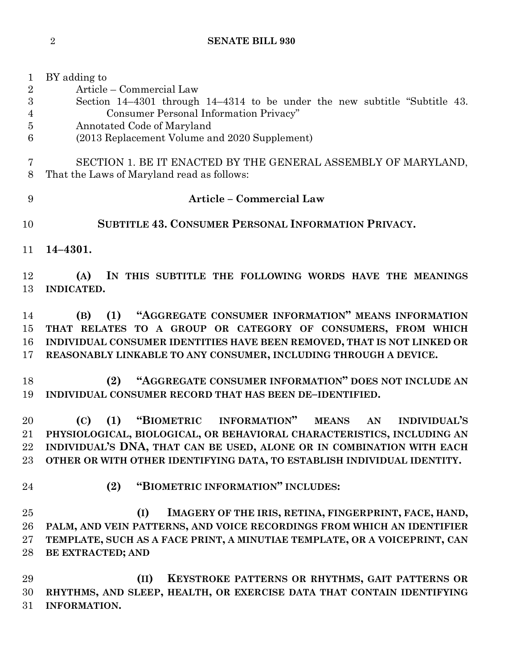| $\mathbf{1}$   | BY adding to                                                                       |
|----------------|------------------------------------------------------------------------------------|
| $\overline{2}$ | Article – Commercial Law                                                           |
| 3              | Section 14–4301 through 14–4314 to be under the new subtitle "Subtitle 43.         |
| 4              | Consumer Personal Information Privacy"                                             |
| 5              | Annotated Code of Maryland                                                         |
| 6              | (2013 Replacement Volume and 2020 Supplement)                                      |
| 7              | SECTION 1. BE IT ENACTED BY THE GENERAL ASSEMBLY OF MARYLAND,                      |
| 8              | That the Laws of Maryland read as follows:                                         |
| 9              | <b>Article - Commercial Law</b>                                                    |
| 10             | <b>SUBTITLE 43. CONSUMER PERSONAL INFORMATION PRIVACY.</b>                         |
| 11             | $14 - 4301.$                                                                       |
| 12             | IN THIS SUBTITLE THE FOLLOWING WORDS HAVE THE MEANINGS<br>(A)                      |
| 13             | INDICATED.                                                                         |
|                |                                                                                    |
| 14             | "AGGREGATE CONSUMER INFORMATION" MEANS INFORMATION<br>(B)<br>(1)                   |
| 15             | THAT RELATES TO A GROUP OR CATEGORY OF CONSUMERS, FROM WHICH                       |
| 16             | INDIVIDUAL CONSUMER IDENTITIES HAVE BEEN REMOVED, THAT IS NOT LINKED OR            |
| 17             | REASONABLY LINKABLE TO ANY CONSUMER, INCLUDING THROUGH A DEVICE.                   |
| 18             | "AGGREGATE CONSUMER INFORMATION" DOES NOT INCLUDE AN<br>(2)                        |
| 19             | INDIVIDUAL CONSUMER RECORD THAT HAS BEEN DE-IDENTIFIED.                            |
| $20\,$         | "BIOMETRIC INFORMATION"<br><b>INDIVIDUAL'S</b><br>(C)<br>(1)<br><b>MEANS</b><br>AN |
| $21\,$         | PHYSIOLOGICAL, BIOLOGICAL, OR BEHAVIORAL CHARACTERISTICS, INCLUDING AN             |
| $22\,$         | INDIVIDUAL'S DNA, THAT CAN BE USED, ALONE OR IN COMBINATION WITH EACH              |
| $23\,$         | OTHER OR WITH OTHER IDENTIFYING DATA, TO ESTABLISH INDIVIDUAL IDENTITY.            |
|                |                                                                                    |
| 24             | "BIOMETRIC INFORMATION" INCLUDES:<br>(2)                                           |
| 25             | (I)<br>IMAGERY OF THE IRIS, RETINA, FINGERPRINT, FACE, HAND,                       |
| 26             | PALM, AND VEIN PATTERNS, AND VOICE RECORDINGS FROM WHICH AN IDENTIFIER             |
| $27\,$         | TEMPLATE, SUCH AS A FACE PRINT, A MINUTIAE TEMPLATE, OR A VOICEPRINT, CAN          |
| 28             | BE EXTRACTED; AND                                                                  |
|                |                                                                                    |
| 29             | (II)<br>KEYSTROKE PATTERNS OR RHYTHMS, GAIT PATTERNS OR                            |
| 30             | RHYTHMS, AND SLEEP, HEALTH, OR EXERCISE DATA THAT CONTAIN IDENTIFYING              |
| 31             | <b>INFORMATION.</b>                                                                |
|                |                                                                                    |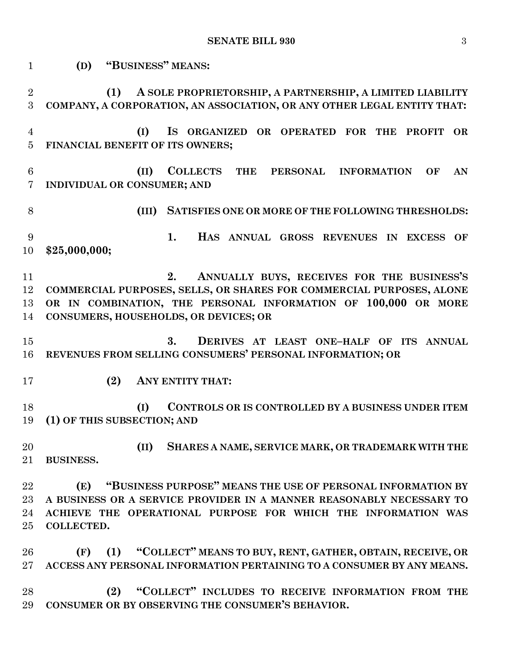**(D) "BUSINESS" MEANS: (1) A SOLE PROPRIETORSHIP, A PARTNERSHIP, A LIMITED LIABILITY COMPANY, A CORPORATION, AN ASSOCIATION, OR ANY OTHER LEGAL ENTITY THAT: (I) IS ORGANIZED OR OPERATED FOR THE PROFIT OR FINANCIAL BENEFIT OF ITS OWNERS; (II) COLLECTS THE PERSONAL INFORMATION OF AN INDIVIDUAL OR CONSUMER; AND (III) SATISFIES ONE OR MORE OF THE FOLLOWING THRESHOLDS: 1. HAS ANNUAL GROSS REVENUES IN EXCESS OF \$25,000,000; 2. ANNUALLY BUYS, RECEIVES FOR THE BUSINESS'S COMMERCIAL PURPOSES, SELLS, OR SHARES FOR COMMERCIAL PURPOSES, ALONE OR IN COMBINATION, THE PERSONAL INFORMATION OF 100,000 OR MORE CONSUMERS, HOUSEHOLDS, OR DEVICES; OR 3. DERIVES AT LEAST ONE–HALF OF ITS ANNUAL REVENUES FROM SELLING CONSUMERS' PERSONAL INFORMATION; OR (2) ANY ENTITY THAT: (I) CONTROLS OR IS CONTROLLED BY A BUSINESS UNDER ITEM (1) OF THIS SUBSECTION; AND (II) SHARES A NAME, SERVICE MARK, OR TRADEMARK WITH THE BUSINESS. (E) "BUSINESS PURPOSE" MEANS THE USE OF PERSONAL INFORMATION BY A BUSINESS OR A SERVICE PROVIDER IN A MANNER REASONABLY NECESSARY TO ACHIEVE THE OPERATIONAL PURPOSE FOR WHICH THE INFORMATION WAS COLLECTED. (F) (1) "COLLECT" MEANS TO BUY, RENT, GATHER, OBTAIN, RECEIVE, OR ACCESS ANY PERSONAL INFORMATION PERTAINING TO A CONSUMER BY ANY MEANS. (2) "COLLECT" INCLUDES TO RECEIVE INFORMATION FROM THE CONSUMER OR BY OBSERVING THE CONSUMER'S BEHAVIOR.**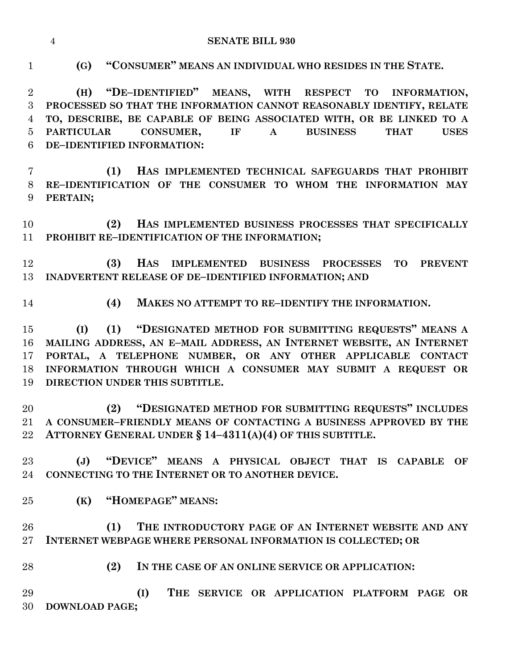**SENATE BILL 930**

 **(4) MAKES NO ATTEMPT TO RE–IDENTIFY THE INFORMATION. (2) IN THE CASE OF AN ONLINE SERVICE OR APPLICATION: (I) THE SERVICE OR APPLICATION PLATFORM PAGE OR DOWNLOAD PAGE;**

**(G) "CONSUMER" MEANS AN INDIVIDUAL WHO RESIDES IN THE STATE.**

 **(H) "DE–IDENTIFIED" MEANS, WITH RESPECT TO INFORMATION, PROCESSED SO THAT THE INFORMATION CANNOT REASONABLY IDENTIFY, RELATE TO, DESCRIBE, BE CAPABLE OF BEING ASSOCIATED WITH, OR BE LINKED TO A PARTICULAR CONSUMER, IF A BUSINESS THAT USES DE–IDENTIFIED INFORMATION:**

- **(1) HAS IMPLEMENTED TECHNICAL SAFEGUARDS THAT PROHIBIT RE–IDENTIFICATION OF THE CONSUMER TO WHOM THE INFORMATION MAY PERTAIN;**
- **(2) HAS IMPLEMENTED BUSINESS PROCESSES THAT SPECIFICALLY PROHIBIT RE–IDENTIFICATION OF THE INFORMATION;**
- **(3) HAS IMPLEMENTED BUSINESS PROCESSES TO PREVENT INADVERTENT RELEASE OF DE–IDENTIFIED INFORMATION; AND**
- 

 **(I) (1) "DESIGNATED METHOD FOR SUBMITTING REQUESTS" MEANS A MAILING ADDRESS, AN E–MAIL ADDRESS, AN INTERNET WEBSITE, AN INTERNET PORTAL, A TELEPHONE NUMBER, OR ANY OTHER APPLICABLE CONTACT INFORMATION THROUGH WHICH A CONSUMER MAY SUBMIT A REQUEST OR DIRECTION UNDER THIS SUBTITLE.**

 **(2) "DESIGNATED METHOD FOR SUBMITTING REQUESTS" INCLUDES A CONSUMER–FRIENDLY MEANS OF CONTACTING A BUSINESS APPROVED BY THE ATTORNEY GENERAL UNDER § 14–4311(A)(4) OF THIS SUBTITLE.**

 **(J) "DEVICE" MEANS A PHYSICAL OBJECT THAT IS CAPABLE OF CONNECTING TO THE INTERNET OR TO ANOTHER DEVICE.**

**(K) "HOMEPAGE" MEANS:**

 **(1) THE INTRODUCTORY PAGE OF AN INTERNET WEBSITE AND ANY INTERNET WEBPAGE WHERE PERSONAL INFORMATION IS COLLECTED; OR**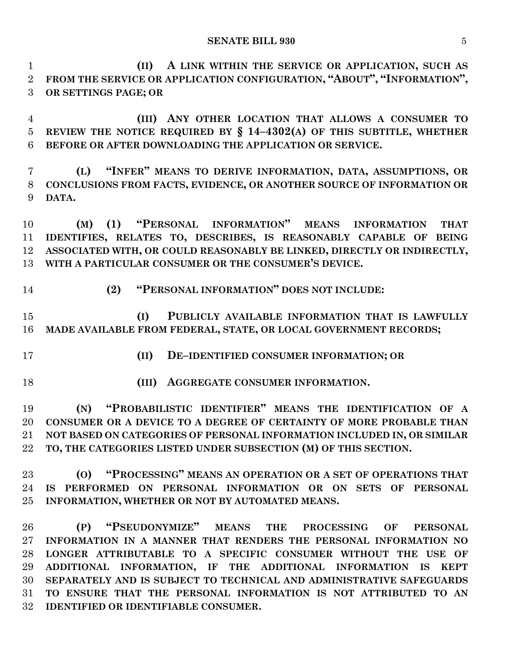**(II) A LINK WITHIN THE SERVICE OR APPLICATION, SUCH AS FROM THE SERVICE OR APPLICATION CONFIGURATION, "ABOUT", "INFORMATION", OR SETTINGS PAGE; OR**

 **(III) ANY OTHER LOCATION THAT ALLOWS A CONSUMER TO REVIEW THE NOTICE REQUIRED BY § 14–4302(A) OF THIS SUBTITLE, WHETHER BEFORE OR AFTER DOWNLOADING THE APPLICATION OR SERVICE.**

 **(L) "INFER" MEANS TO DERIVE INFORMATION, DATA, ASSUMPTIONS, OR CONCLUSIONS FROM FACTS, EVIDENCE, OR ANOTHER SOURCE OF INFORMATION OR DATA.**

 **(M) (1) "PERSONAL INFORMATION" MEANS INFORMATION THAT IDENTIFIES, RELATES TO, DESCRIBES, IS REASONABLY CAPABLE OF BEING ASSOCIATED WITH, OR COULD REASONABLY BE LINKED, DIRECTLY OR INDIRECTLY, WITH A PARTICULAR CONSUMER OR THE CONSUMER'S DEVICE.**

**(2) "PERSONAL INFORMATION" DOES NOT INCLUDE:**

 **(I) PUBLICLY AVAILABLE INFORMATION THAT IS LAWFULLY MADE AVAILABLE FROM FEDERAL, STATE, OR LOCAL GOVERNMENT RECORDS;**

**(II) DE–IDENTIFIED CONSUMER INFORMATION; OR**

**(III) AGGREGATE CONSUMER INFORMATION.**

 **(N) "PROBABILISTIC IDENTIFIER" MEANS THE IDENTIFICATION OF A CONSUMER OR A DEVICE TO A DEGREE OF CERTAINTY OF MORE PROBABLE THAN NOT BASED ON CATEGORIES OF PERSONAL INFORMATION INCLUDED IN, OR SIMILAR TO, THE CATEGORIES LISTED UNDER SUBSECTION (M) OF THIS SECTION.**

 **(O) "PROCESSING" MEANS AN OPERATION OR A SET OF OPERATIONS THAT IS PERFORMED ON PERSONAL INFORMATION OR ON SETS OF PERSONAL INFORMATION, WHETHER OR NOT BY AUTOMATED MEANS.**

 **(P) "PSEUDONYMIZE" MEANS THE PROCESSING OF PERSONAL INFORMATION IN A MANNER THAT RENDERS THE PERSONAL INFORMATION NO LONGER ATTRIBUTABLE TO A SPECIFIC CONSUMER WITHOUT THE USE OF ADDITIONAL INFORMATION, IF THE ADDITIONAL INFORMATION IS KEPT SEPARATELY AND IS SUBJECT TO TECHNICAL AND ADMINISTRATIVE SAFEGUARDS TO ENSURE THAT THE PERSONAL INFORMATION IS NOT ATTRIBUTED TO AN IDENTIFIED OR IDENTIFIABLE CONSUMER.**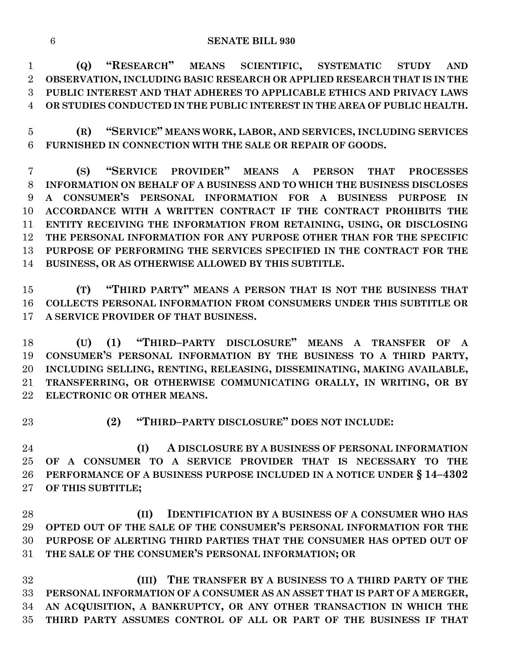**(Q) "RESEARCH" MEANS SCIENTIFIC, SYSTEMATIC STUDY AND OBSERVATION, INCLUDING BASIC RESEARCH OR APPLIED RESEARCH THAT IS IN THE PUBLIC INTEREST AND THAT ADHERES TO APPLICABLE ETHICS AND PRIVACY LAWS OR STUDIES CONDUCTED IN THE PUBLIC INTEREST IN THE AREA OF PUBLIC HEALTH.**

 **(R) "SERVICE" MEANS WORK, LABOR, AND SERVICES, INCLUDING SERVICES FURNISHED IN CONNECTION WITH THE SALE OR REPAIR OF GOODS.**

 **(S) "SERVICE PROVIDER" MEANS A PERSON THAT PROCESSES INFORMATION ON BEHALF OF A BUSINESS AND TO WHICH THE BUSINESS DISCLOSES A CONSUMER'S PERSONAL INFORMATION FOR A BUSINESS PURPOSE IN ACCORDANCE WITH A WRITTEN CONTRACT IF THE CONTRACT PROHIBITS THE ENTITY RECEIVING THE INFORMATION FROM RETAINING, USING, OR DISCLOSING THE PERSONAL INFORMATION FOR ANY PURPOSE OTHER THAN FOR THE SPECIFIC PURPOSE OF PERFORMING THE SERVICES SPECIFIED IN THE CONTRACT FOR THE BUSINESS, OR AS OTHERWISE ALLOWED BY THIS SUBTITLE.**

 **(T) "THIRD PARTY" MEANS A PERSON THAT IS NOT THE BUSINESS THAT COLLECTS PERSONAL INFORMATION FROM CONSUMERS UNDER THIS SUBTITLE OR A SERVICE PROVIDER OF THAT BUSINESS.**

 **(U) (1) "THIRD–PARTY DISCLOSURE" MEANS A TRANSFER OF A CONSUMER'S PERSONAL INFORMATION BY THE BUSINESS TO A THIRD PARTY, INCLUDING SELLING, RENTING, RELEASING, DISSEMINATING, MAKING AVAILABLE, TRANSFERRING, OR OTHERWISE COMMUNICATING ORALLY, IN WRITING, OR BY ELECTRONIC OR OTHER MEANS.**

**(2) "THIRD–PARTY DISCLOSURE" DOES NOT INCLUDE:**

 **(I) A DISCLOSURE BY A BUSINESS OF PERSONAL INFORMATION OF A CONSUMER TO A SERVICE PROVIDER THAT IS NECESSARY TO THE PERFORMANCE OF A BUSINESS PURPOSE INCLUDED IN A NOTICE UNDER § 14–4302 OF THIS SUBTITLE;**

 **(II) IDENTIFICATION BY A BUSINESS OF A CONSUMER WHO HAS OPTED OUT OF THE SALE OF THE CONSUMER'S PERSONAL INFORMATION FOR THE PURPOSE OF ALERTING THIRD PARTIES THAT THE CONSUMER HAS OPTED OUT OF THE SALE OF THE CONSUMER'S PERSONAL INFORMATION; OR**

 **(III) THE TRANSFER BY A BUSINESS TO A THIRD PARTY OF THE PERSONAL INFORMATION OF A CONSUMER AS AN ASSET THAT IS PART OF A MERGER, AN ACQUISITION, A BANKRUPTCY, OR ANY OTHER TRANSACTION IN WHICH THE THIRD PARTY ASSUMES CONTROL OF ALL OR PART OF THE BUSINESS IF THAT**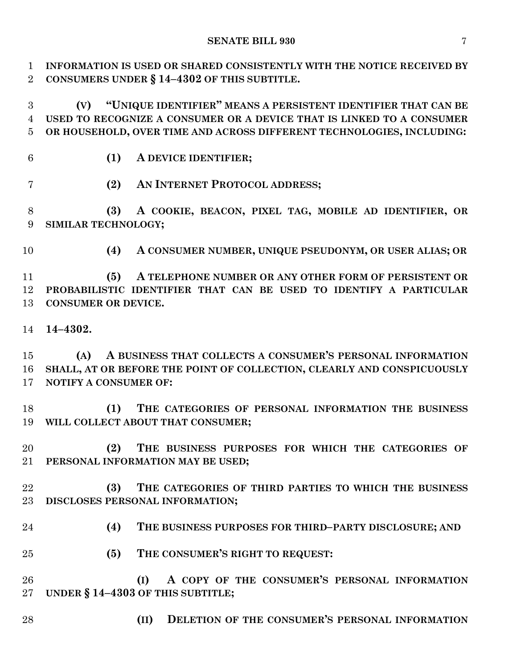#### **SENATE BILL 930** 7

 **INFORMATION IS USED OR SHARED CONSISTENTLY WITH THE NOTICE RECEIVED BY CONSUMERS UNDER § 14–4302 OF THIS SUBTITLE.**

 **(V) "UNIQUE IDENTIFIER" MEANS A PERSISTENT IDENTIFIER THAT CAN BE USED TO RECOGNIZE A CONSUMER OR A DEVICE THAT IS LINKED TO A CONSUMER OR HOUSEHOLD, OVER TIME AND ACROSS DIFFERENT TECHNOLOGIES, INCLUDING:**

- 
- **(1) A DEVICE IDENTIFIER;**
- **(2) AN INTERNET PROTOCOL ADDRESS;**

 **(3) A COOKIE, BEACON, PIXEL TAG, MOBILE AD IDENTIFIER, OR SIMILAR TECHNOLOGY;**

**(4) A CONSUMER NUMBER, UNIQUE PSEUDONYM, OR USER ALIAS; OR**

 **(5) A TELEPHONE NUMBER OR ANY OTHER FORM OF PERSISTENT OR PROBABILISTIC IDENTIFIER THAT CAN BE USED TO IDENTIFY A PARTICULAR CONSUMER OR DEVICE.**

**14–4302.**

 **(A) A BUSINESS THAT COLLECTS A CONSUMER'S PERSONAL INFORMATION SHALL, AT OR BEFORE THE POINT OF COLLECTION, CLEARLY AND CONSPICUOUSLY NOTIFY A CONSUMER OF:**

 **(1) THE CATEGORIES OF PERSONAL INFORMATION THE BUSINESS WILL COLLECT ABOUT THAT CONSUMER;**

 **(2) THE BUSINESS PURPOSES FOR WHICH THE CATEGORIES OF PERSONAL INFORMATION MAY BE USED;**

 **(3) THE CATEGORIES OF THIRD PARTIES TO WHICH THE BUSINESS DISCLOSES PERSONAL INFORMATION;**

- **(4) THE BUSINESS PURPOSES FOR THIRD–PARTY DISCLOSURE; AND**
- **(5) THE CONSUMER'S RIGHT TO REQUEST:**

 **(I) A COPY OF THE CONSUMER'S PERSONAL INFORMATION UNDER § 14–4303 OF THIS SUBTITLE;**

- 
- **(II) DELETION OF THE CONSUMER'S PERSONAL INFORMATION**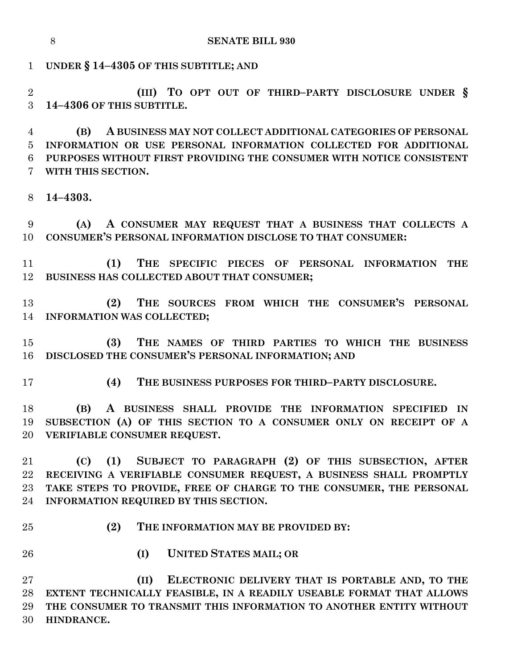**SENATE BILL 930**

**UNDER § 14–4305 OF THIS SUBTITLE; AND**

 **(III) TO OPT OUT OF THIRD–PARTY DISCLOSURE UNDER § 14–4306 OF THIS SUBTITLE.**

 **(B) A BUSINESS MAY NOT COLLECT ADDITIONAL CATEGORIES OF PERSONAL INFORMATION OR USE PERSONAL INFORMATION COLLECTED FOR ADDITIONAL PURPOSES WITHOUT FIRST PROVIDING THE CONSUMER WITH NOTICE CONSISTENT WITH THIS SECTION.**

**14–4303.**

 **(A) A CONSUMER MAY REQUEST THAT A BUSINESS THAT COLLECTS A CONSUMER'S PERSONAL INFORMATION DISCLOSE TO THAT CONSUMER:**

 **(1) THE SPECIFIC PIECES OF PERSONAL INFORMATION THE BUSINESS HAS COLLECTED ABOUT THAT CONSUMER;**

 **(2) THE SOURCES FROM WHICH THE CONSUMER'S PERSONAL INFORMATION WAS COLLECTED;**

 **(3) THE NAMES OF THIRD PARTIES TO WHICH THE BUSINESS DISCLOSED THE CONSUMER'S PERSONAL INFORMATION; AND**

**(4) THE BUSINESS PURPOSES FOR THIRD–PARTY DISCLOSURE.**

 **(B) A BUSINESS SHALL PROVIDE THE INFORMATION SPECIFIED IN SUBSECTION (A) OF THIS SECTION TO A CONSUMER ONLY ON RECEIPT OF A VERIFIABLE CONSUMER REQUEST.**

 **(C) (1) SUBJECT TO PARAGRAPH (2) OF THIS SUBSECTION, AFTER RECEIVING A VERIFIABLE CONSUMER REQUEST, A BUSINESS SHALL PROMPTLY TAKE STEPS TO PROVIDE, FREE OF CHARGE TO THE CONSUMER, THE PERSONAL INFORMATION REQUIRED BY THIS SECTION.**

**(2) THE INFORMATION MAY BE PROVIDED BY:**

- 
- **(I) UNITED STATES MAIL; OR**

 **(II) ELECTRONIC DELIVERY THAT IS PORTABLE AND, TO THE EXTENT TECHNICALLY FEASIBLE, IN A READILY USEABLE FORMAT THAT ALLOWS THE CONSUMER TO TRANSMIT THIS INFORMATION TO ANOTHER ENTITY WITHOUT HINDRANCE.**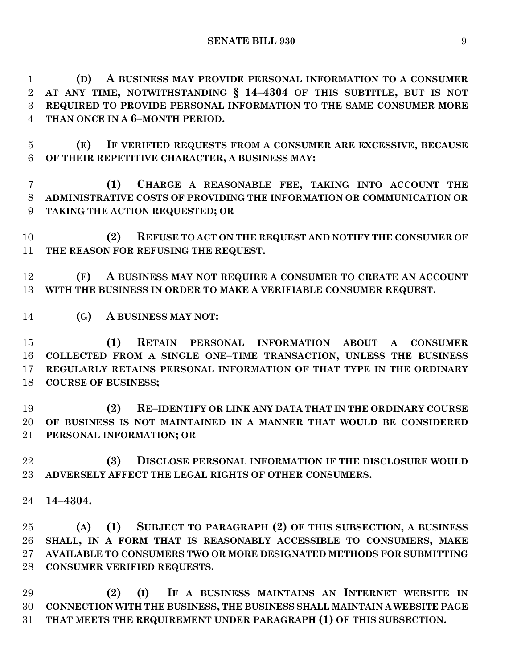**(D) A BUSINESS MAY PROVIDE PERSONAL INFORMATION TO A CONSUMER AT ANY TIME, NOTWITHSTANDING § 14–4304 OF THIS SUBTITLE, BUT IS NOT REQUIRED TO PROVIDE PERSONAL INFORMATION TO THE SAME CONSUMER MORE THAN ONCE IN A 6–MONTH PERIOD.**

 **(E) IF VERIFIED REQUESTS FROM A CONSUMER ARE EXCESSIVE, BECAUSE OF THEIR REPETITIVE CHARACTER, A BUSINESS MAY:**

 **(1) CHARGE A REASONABLE FEE, TAKING INTO ACCOUNT THE ADMINISTRATIVE COSTS OF PROVIDING THE INFORMATION OR COMMUNICATION OR TAKING THE ACTION REQUESTED; OR** 

 **(2) REFUSE TO ACT ON THE REQUEST AND NOTIFY THE CONSUMER OF THE REASON FOR REFUSING THE REQUEST.**

 **(F) A BUSINESS MAY NOT REQUIRE A CONSUMER TO CREATE AN ACCOUNT WITH THE BUSINESS IN ORDER TO MAKE A VERIFIABLE CONSUMER REQUEST.**

**(G) A BUSINESS MAY NOT:**

 **(1) RETAIN PERSONAL INFORMATION ABOUT A CONSUMER COLLECTED FROM A SINGLE ONE–TIME TRANSACTION, UNLESS THE BUSINESS REGULARLY RETAINS PERSONAL INFORMATION OF THAT TYPE IN THE ORDINARY COURSE OF BUSINESS;**

 **(2) RE–IDENTIFY OR LINK ANY DATA THAT IN THE ORDINARY COURSE OF BUSINESS IS NOT MAINTAINED IN A MANNER THAT WOULD BE CONSIDERED PERSONAL INFORMATION; OR**

 **(3) DISCLOSE PERSONAL INFORMATION IF THE DISCLOSURE WOULD ADVERSELY AFFECT THE LEGAL RIGHTS OF OTHER CONSUMERS.**

**14–4304.**

 **(A) (1) SUBJECT TO PARAGRAPH (2) OF THIS SUBSECTION, A BUSINESS SHALL, IN A FORM THAT IS REASONABLY ACCESSIBLE TO CONSUMERS, MAKE AVAILABLE TO CONSUMERS TWO OR MORE DESIGNATED METHODS FOR SUBMITTING CONSUMER VERIFIED REQUESTS.**

 **(2) (I) IF A BUSINESS MAINTAINS AN INTERNET WEBSITE IN CONNECTION WITH THE BUSINESS, THE BUSINESS SHALL MAINTAIN A WEBSITE PAGE THAT MEETS THE REQUIREMENT UNDER PARAGRAPH (1) OF THIS SUBSECTION.**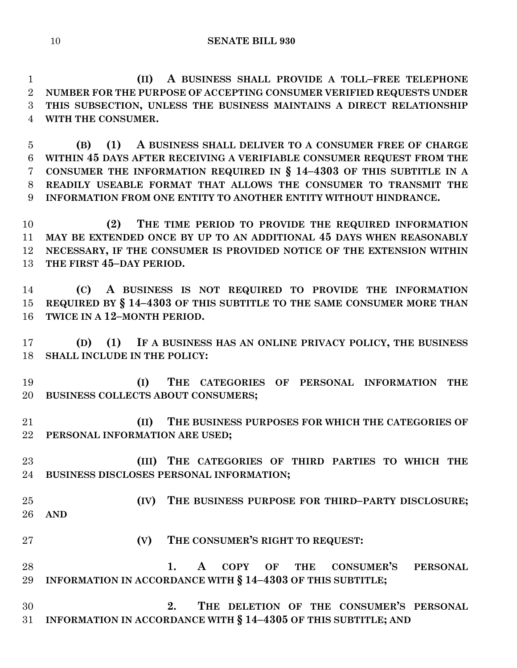**(II) A BUSINESS SHALL PROVIDE A TOLL–FREE TELEPHONE NUMBER FOR THE PURPOSE OF ACCEPTING CONSUMER VERIFIED REQUESTS UNDER THIS SUBSECTION, UNLESS THE BUSINESS MAINTAINS A DIRECT RELATIONSHIP WITH THE CONSUMER.**

 **(B) (1) A BUSINESS SHALL DELIVER TO A CONSUMER FREE OF CHARGE WITHIN 45 DAYS AFTER RECEIVING A VERIFIABLE CONSUMER REQUEST FROM THE CONSUMER THE INFORMATION REQUIRED IN § 14–4303 OF THIS SUBTITLE IN A READILY USEABLE FORMAT THAT ALLOWS THE CONSUMER TO TRANSMIT THE INFORMATION FROM ONE ENTITY TO ANOTHER ENTITY WITHOUT HINDRANCE.**

 **(2) THE TIME PERIOD TO PROVIDE THE REQUIRED INFORMATION MAY BE EXTENDED ONCE BY UP TO AN ADDITIONAL 45 DAYS WHEN REASONABLY NECESSARY, IF THE CONSUMER IS PROVIDED NOTICE OF THE EXTENSION WITHIN THE FIRST 45–DAY PERIOD.**

 **(C) A BUSINESS IS NOT REQUIRED TO PROVIDE THE INFORMATION REQUIRED BY § 14–4303 OF THIS SUBTITLE TO THE SAME CONSUMER MORE THAN TWICE IN A 12–MONTH PERIOD.**

 **(D) (1) IF A BUSINESS HAS AN ONLINE PRIVACY POLICY, THE BUSINESS SHALL INCLUDE IN THE POLICY:**

 **(I) THE CATEGORIES OF PERSONAL INFORMATION THE BUSINESS COLLECTS ABOUT CONSUMERS;**

 **(II) THE BUSINESS PURPOSES FOR WHICH THE CATEGORIES OF PERSONAL INFORMATION ARE USED;**

 **(III) THE CATEGORIES OF THIRD PARTIES TO WHICH THE BUSINESS DISCLOSES PERSONAL INFORMATION;**

- **(IV) THE BUSINESS PURPOSE FOR THIRD–PARTY DISCLOSURE; AND**
- **(V) THE CONSUMER'S RIGHT TO REQUEST:**
- **1. A COPY OF THE CONSUMER'S PERSONAL INFORMATION IN ACCORDANCE WITH § 14–4303 OF THIS SUBTITLE;**

 **2. THE DELETION OF THE CONSUMER'S PERSONAL INFORMATION IN ACCORDANCE WITH § 14–4305 OF THIS SUBTITLE; AND**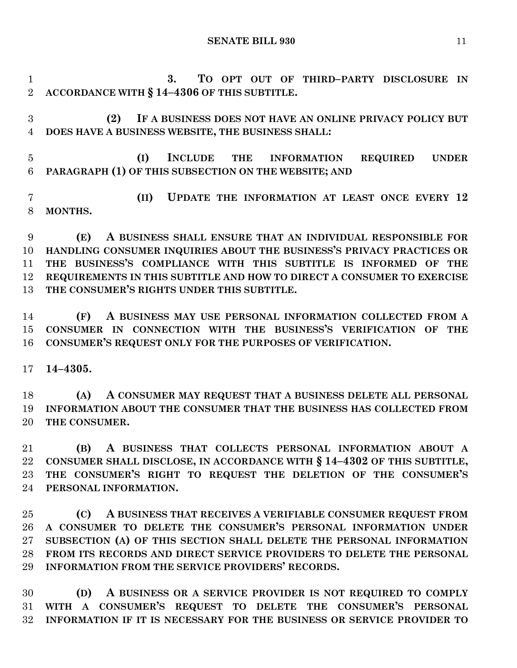**3. TO OPT OUT OF THIRD–PARTY DISCLOSURE IN ACCORDANCE WITH § 14–4306 OF THIS SUBTITLE.**

 **(2) IF A BUSINESS DOES NOT HAVE AN ONLINE PRIVACY POLICY BUT DOES HAVE A BUSINESS WEBSITE, THE BUSINESS SHALL:**

 **(I) INCLUDE THE INFORMATION REQUIRED UNDER PARAGRAPH (1) OF THIS SUBSECTION ON THE WEBSITE; AND** 

 **(II) UPDATE THE INFORMATION AT LEAST ONCE EVERY 12 MONTHS.**

 **(E) A BUSINESS SHALL ENSURE THAT AN INDIVIDUAL RESPONSIBLE FOR HANDLING CONSUMER INQUIRIES ABOUT THE BUSINESS'S PRIVACY PRACTICES OR THE BUSINESS'S COMPLIANCE WITH THIS SUBTITLE IS INFORMED OF THE REQUIREMENTS IN THIS SUBTITLE AND HOW TO DIRECT A CONSUMER TO EXERCISE THE CONSUMER'S RIGHTS UNDER THIS SUBTITLE.**

 **(F) A BUSINESS MAY USE PERSONAL INFORMATION COLLECTED FROM A CONSUMER IN CONNECTION WITH THE BUSINESS'S VERIFICATION OF THE CONSUMER'S REQUEST ONLY FOR THE PURPOSES OF VERIFICATION.**

**14–4305.**

 **(A) A CONSUMER MAY REQUEST THAT A BUSINESS DELETE ALL PERSONAL INFORMATION ABOUT THE CONSUMER THAT THE BUSINESS HAS COLLECTED FROM THE CONSUMER.**

 **(B) A BUSINESS THAT COLLECTS PERSONAL INFORMATION ABOUT A CONSUMER SHALL DISCLOSE, IN ACCORDANCE WITH § 14–4302 OF THIS SUBTITLE, THE CONSUMER'S RIGHT TO REQUEST THE DELETION OF THE CONSUMER'S PERSONAL INFORMATION.**

 **(C) A BUSINESS THAT RECEIVES A VERIFIABLE CONSUMER REQUEST FROM A CONSUMER TO DELETE THE CONSUMER'S PERSONAL INFORMATION UNDER SUBSECTION (A) OF THIS SECTION SHALL DELETE THE PERSONAL INFORMATION FROM ITS RECORDS AND DIRECT SERVICE PROVIDERS TO DELETE THE PERSONAL INFORMATION FROM THE SERVICE PROVIDERS' RECORDS.**

 **(D) A BUSINESS OR A SERVICE PROVIDER IS NOT REQUIRED TO COMPLY WITH A CONSUMER'S REQUEST TO DELETE THE CONSUMER'S PERSONAL INFORMATION IF IT IS NECESSARY FOR THE BUSINESS OR SERVICE PROVIDER TO**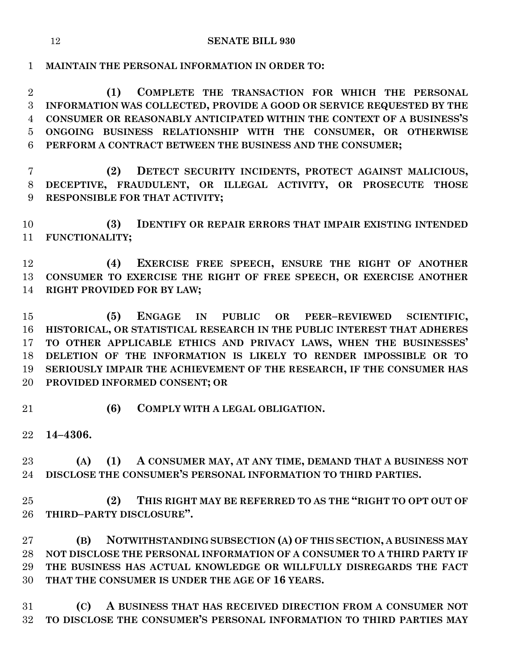**MAINTAIN THE PERSONAL INFORMATION IN ORDER TO:**

 **(1) COMPLETE THE TRANSACTION FOR WHICH THE PERSONAL INFORMATION WAS COLLECTED, PROVIDE A GOOD OR SERVICE REQUESTED BY THE CONSUMER OR REASONABLY ANTICIPATED WITHIN THE CONTEXT OF A BUSINESS'S ONGOING BUSINESS RELATIONSHIP WITH THE CONSUMER, OR OTHERWISE PERFORM A CONTRACT BETWEEN THE BUSINESS AND THE CONSUMER;**

 **(2) DETECT SECURITY INCIDENTS, PROTECT AGAINST MALICIOUS, DECEPTIVE, FRAUDULENT, OR ILLEGAL ACTIVITY, OR PROSECUTE THOSE RESPONSIBLE FOR THAT ACTIVITY;**

 **(3) IDENTIFY OR REPAIR ERRORS THAT IMPAIR EXISTING INTENDED FUNCTIONALITY;**

 **(4) EXERCISE FREE SPEECH, ENSURE THE RIGHT OF ANOTHER CONSUMER TO EXERCISE THE RIGHT OF FREE SPEECH, OR EXERCISE ANOTHER RIGHT PROVIDED FOR BY LAW;**

 **(5) ENGAGE IN PUBLIC OR PEER–REVIEWED SCIENTIFIC, HISTORICAL, OR STATISTICAL RESEARCH IN THE PUBLIC INTEREST THAT ADHERES TO OTHER APPLICABLE ETHICS AND PRIVACY LAWS, WHEN THE BUSINESSES' DELETION OF THE INFORMATION IS LIKELY TO RENDER IMPOSSIBLE OR TO SERIOUSLY IMPAIR THE ACHIEVEMENT OF THE RESEARCH, IF THE CONSUMER HAS PROVIDED INFORMED CONSENT; OR**

**(6) COMPLY WITH A LEGAL OBLIGATION.**

**14–4306.**

 **(A) (1) A CONSUMER MAY, AT ANY TIME, DEMAND THAT A BUSINESS NOT DISCLOSE THE CONSUMER'S PERSONAL INFORMATION TO THIRD PARTIES.**

 **(2) THIS RIGHT MAY BE REFERRED TO AS THE "RIGHT TO OPT OUT OF THIRD–PARTY DISCLOSURE".**

 **(B) NOTWITHSTANDING SUBSECTION (A) OF THIS SECTION, A BUSINESS MAY NOT DISCLOSE THE PERSONAL INFORMATION OF A CONSUMER TO A THIRD PARTY IF THE BUSINESS HAS ACTUAL KNOWLEDGE OR WILLFULLY DISREGARDS THE FACT THAT THE CONSUMER IS UNDER THE AGE OF 16 YEARS.**

 **(C) A BUSINESS THAT HAS RECEIVED DIRECTION FROM A CONSUMER NOT TO DISCLOSE THE CONSUMER'S PERSONAL INFORMATION TO THIRD PARTIES MAY**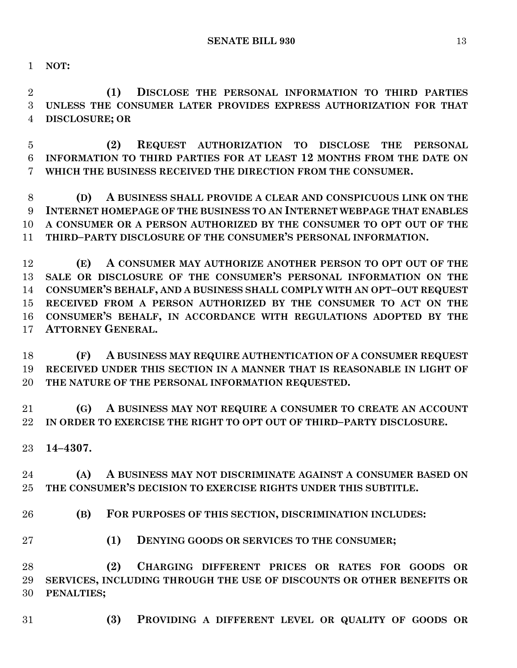**NOT:**

 **(1) DISCLOSE THE PERSONAL INFORMATION TO THIRD PARTIES UNLESS THE CONSUMER LATER PROVIDES EXPRESS AUTHORIZATION FOR THAT DISCLOSURE; OR**

 **(2) REQUEST AUTHORIZATION TO DISCLOSE THE PERSONAL INFORMATION TO THIRD PARTIES FOR AT LEAST 12 MONTHS FROM THE DATE ON WHICH THE BUSINESS RECEIVED THE DIRECTION FROM THE CONSUMER.**

 **(D) A BUSINESS SHALL PROVIDE A CLEAR AND CONSPICUOUS LINK ON THE INTERNET HOMEPAGE OF THE BUSINESS TO AN INTERNET WEBPAGE THAT ENABLES A CONSUMER OR A PERSON AUTHORIZED BY THE CONSUMER TO OPT OUT OF THE THIRD–PARTY DISCLOSURE OF THE CONSUMER'S PERSONAL INFORMATION.**

 **(E) A CONSUMER MAY AUTHORIZE ANOTHER PERSON TO OPT OUT OF THE SALE OR DISCLOSURE OF THE CONSUMER'S PERSONAL INFORMATION ON THE CONSUMER'S BEHALF, AND A BUSINESS SHALL COMPLY WITH AN OPT–OUT REQUEST RECEIVED FROM A PERSON AUTHORIZED BY THE CONSUMER TO ACT ON THE CONSUMER'S BEHALF, IN ACCORDANCE WITH REGULATIONS ADOPTED BY THE ATTORNEY GENERAL.**

 **(F) A BUSINESS MAY REQUIRE AUTHENTICATION OF A CONSUMER REQUEST RECEIVED UNDER THIS SECTION IN A MANNER THAT IS REASONABLE IN LIGHT OF THE NATURE OF THE PERSONAL INFORMATION REQUESTED.**

 **(G) A BUSINESS MAY NOT REQUIRE A CONSUMER TO CREATE AN ACCOUNT IN ORDER TO EXERCISE THE RIGHT TO OPT OUT OF THIRD–PARTY DISCLOSURE.**

**14–4307.**

 **(A) A BUSINESS MAY NOT DISCRIMINATE AGAINST A CONSUMER BASED ON THE CONSUMER'S DECISION TO EXERCISE RIGHTS UNDER THIS SUBTITLE.**

**(B) FOR PURPOSES OF THIS SECTION, DISCRIMINATION INCLUDES:**

**(1) DENYING GOODS OR SERVICES TO THE CONSUMER;**

 **(2) CHARGING DIFFERENT PRICES OR RATES FOR GOODS OR SERVICES, INCLUDING THROUGH THE USE OF DISCOUNTS OR OTHER BENEFITS OR PENALTIES;**

**(3) PROVIDING A DIFFERENT LEVEL OR QUALITY OF GOODS OR**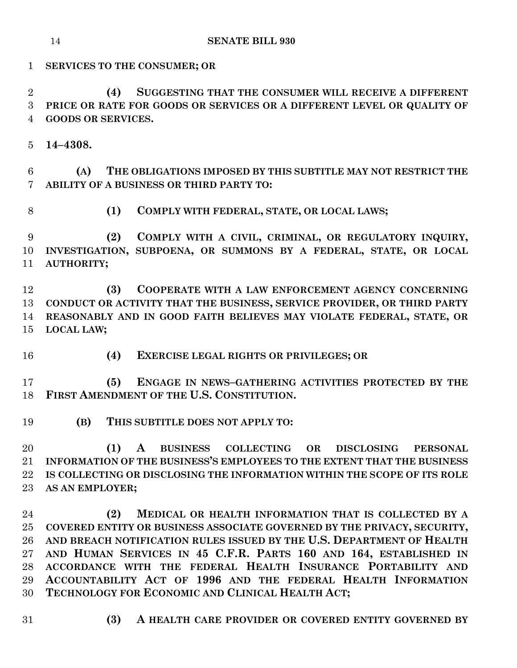**SENATE BILL 930**

**SERVICES TO THE CONSUMER; OR**

 **(4) SUGGESTING THAT THE CONSUMER WILL RECEIVE A DIFFERENT PRICE OR RATE FOR GOODS OR SERVICES OR A DIFFERENT LEVEL OR QUALITY OF GOODS OR SERVICES.**

**14–4308.**

 **(A) THE OBLIGATIONS IMPOSED BY THIS SUBTITLE MAY NOT RESTRICT THE ABILITY OF A BUSINESS OR THIRD PARTY TO:**

**(1) COMPLY WITH FEDERAL, STATE, OR LOCAL LAWS;**

 **(2) COMPLY WITH A CIVIL, CRIMINAL, OR REGULATORY INQUIRY, INVESTIGATION, SUBPOENA, OR SUMMONS BY A FEDERAL, STATE, OR LOCAL AUTHORITY;**

 **(3) COOPERATE WITH A LAW ENFORCEMENT AGENCY CONCERNING CONDUCT OR ACTIVITY THAT THE BUSINESS, SERVICE PROVIDER, OR THIRD PARTY REASONABLY AND IN GOOD FAITH BELIEVES MAY VIOLATE FEDERAL, STATE, OR LOCAL LAW;**

**(4) EXERCISE LEGAL RIGHTS OR PRIVILEGES; OR**

 **(5) ENGAGE IN NEWS–GATHERING ACTIVITIES PROTECTED BY THE FIRST AMENDMENT OF THE U.S. CONSTITUTION.**

**(B) THIS SUBTITLE DOES NOT APPLY TO:**

 **(1) A BUSINESS COLLECTING OR DISCLOSING PERSONAL INFORMATION OF THE BUSINESS'S EMPLOYEES TO THE EXTENT THAT THE BUSINESS IS COLLECTING OR DISCLOSING THE INFORMATION WITHIN THE SCOPE OF ITS ROLE AS AN EMPLOYER;**

 **(2) MEDICAL OR HEALTH INFORMATION THAT IS COLLECTED BY A COVERED ENTITY OR BUSINESS ASSOCIATE GOVERNED BY THE PRIVACY, SECURITY, AND BREACH NOTIFICATION RULES ISSUED BY THE U.S. DEPARTMENT OF HEALTH AND HUMAN SERVICES IN 45 C.F.R. PARTS 160 AND 164, ESTABLISHED IN ACCORDANCE WITH THE FEDERAL HEALTH INSURANCE PORTABILITY AND ACCOUNTABILITY ACT OF 1996 AND THE FEDERAL HEALTH INFORMATION TECHNOLOGY FOR ECONOMIC AND CLINICAL HEALTH ACT;**

- 
- **(3) A HEALTH CARE PROVIDER OR COVERED ENTITY GOVERNED BY**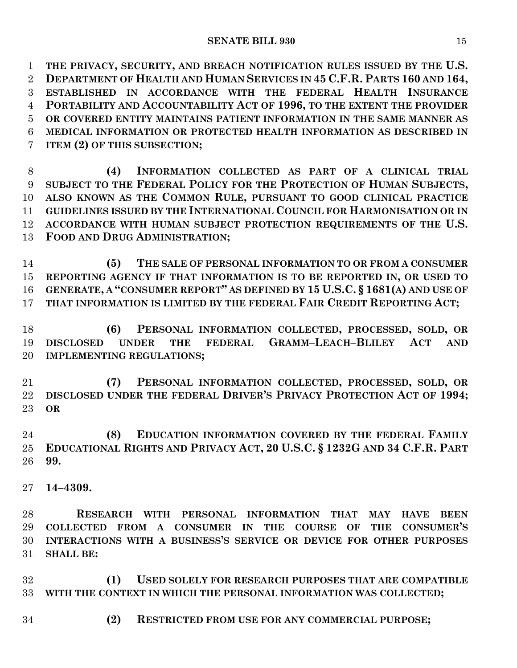**THE PRIVACY, SECURITY, AND BREACH NOTIFICATION RULES ISSUED BY THE U.S. DEPARTMENT OF HEALTH AND HUMAN SERVICES IN 45 C.F.R. PARTS 160 AND 164, ESTABLISHED IN ACCORDANCE WITH THE FEDERAL HEALTH INSURANCE PORTABILITY AND ACCOUNTABILITY ACT OF 1996, TO THE EXTENT THE PROVIDER OR COVERED ENTITY MAINTAINS PATIENT INFORMATION IN THE SAME MANNER AS MEDICAL INFORMATION OR PROTECTED HEALTH INFORMATION AS DESCRIBED IN ITEM (2) OF THIS SUBSECTION;**

 **(4) INFORMATION COLLECTED AS PART OF A CLINICAL TRIAL SUBJECT TO THE FEDERAL POLICY FOR THE PROTECTION OF HUMAN SUBJECTS, ALSO KNOWN AS THE COMMON RULE, PURSUANT TO GOOD CLINICAL PRACTICE GUIDELINES ISSUED BY THE INTERNATIONAL COUNCIL FOR HARMONISATION OR IN ACCORDANCE WITH HUMAN SUBJECT PROTECTION REQUIREMENTS OF THE U.S. FOOD AND DRUG ADMINISTRATION;**

 **(5) THE SALE OF PERSONAL INFORMATION TO OR FROM A CONSUMER REPORTING AGENCY IF THAT INFORMATION IS TO BE REPORTED IN, OR USED TO GENERATE, A "CONSUMER REPORT" AS DEFINED BY 15 U.S.C. § 1681(A) AND USE OF THAT INFORMATION IS LIMITED BY THE FEDERAL FAIR CREDIT REPORTING ACT;**

 **(6) PERSONAL INFORMATION COLLECTED, PROCESSED, SOLD, OR DISCLOSED UNDER THE FEDERAL GRAMM–LEACH–BLILEY ACT AND IMPLEMENTING REGULATIONS;**

 **(7) PERSONAL INFORMATION COLLECTED, PROCESSED, SOLD, OR DISCLOSED UNDER THE FEDERAL DRIVER'S PRIVACY PROTECTION ACT OF 1994; OR**

 **(8) EDUCATION INFORMATION COVERED BY THE FEDERAL FAMILY EDUCATIONAL RIGHTS AND PRIVACY ACT, 20 U.S.C. § 1232G AND 34 C.F.R. PART 99.**

**14–4309.**

 **RESEARCH WITH PERSONAL INFORMATION THAT MAY HAVE BEEN COLLECTED FROM A CONSUMER IN THE COURSE OF THE CONSUMER'S INTERACTIONS WITH A BUSINESS'S SERVICE OR DEVICE FOR OTHER PURPOSES SHALL BE:**

 **(1) USED SOLELY FOR RESEARCH PURPOSES THAT ARE COMPATIBLE WITH THE CONTEXT IN WHICH THE PERSONAL INFORMATION WAS COLLECTED;**

**(2) RESTRICTED FROM USE FOR ANY COMMERCIAL PURPOSE;**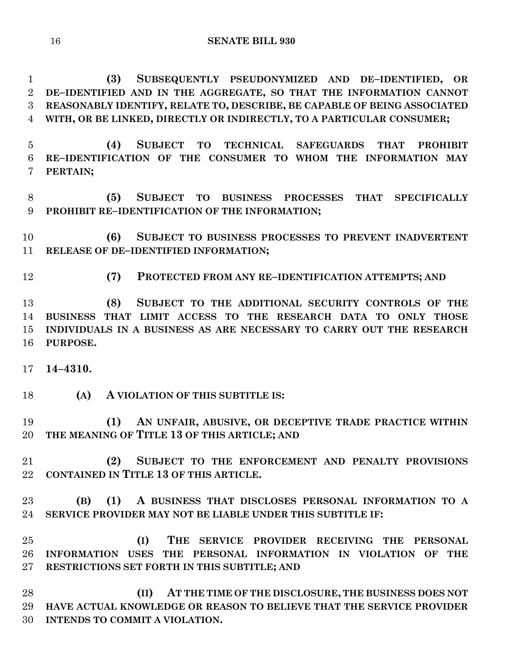**(3) SUBSEQUENTLY PSEUDONYMIZED AND DE–IDENTIFIED, OR DE–IDENTIFIED AND IN THE AGGREGATE, SO THAT THE INFORMATION CANNOT REASONABLY IDENTIFY, RELATE TO, DESCRIBE, BE CAPABLE OF BEING ASSOCIATED WITH, OR BE LINKED, DIRECTLY OR INDIRECTLY, TO A PARTICULAR CONSUMER;**

 **(4) SUBJECT TO TECHNICAL SAFEGUARDS THAT PROHIBIT RE–IDENTIFICATION OF THE CONSUMER TO WHOM THE INFORMATION MAY PERTAIN;**

 **(5) SUBJECT TO BUSINESS PROCESSES THAT SPECIFICALLY PROHIBIT RE–IDENTIFICATION OF THE INFORMATION;**

 **(6) SUBJECT TO BUSINESS PROCESSES TO PREVENT INADVERTENT RELEASE OF DE–IDENTIFIED INFORMATION;**

**(7) PROTECTED FROM ANY RE–IDENTIFICATION ATTEMPTS; AND**

 **(8) SUBJECT TO THE ADDITIONAL SECURITY CONTROLS OF THE BUSINESS THAT LIMIT ACCESS TO THE RESEARCH DATA TO ONLY THOSE INDIVIDUALS IN A BUSINESS AS ARE NECESSARY TO CARRY OUT THE RESEARCH PURPOSE.**

**14–4310.**

**(A) A VIOLATION OF THIS SUBTITLE IS:**

 **(1) AN UNFAIR, ABUSIVE, OR DECEPTIVE TRADE PRACTICE WITHIN THE MEANING OF TITLE 13 OF THIS ARTICLE; AND**

 **(2) SUBJECT TO THE ENFORCEMENT AND PENALTY PROVISIONS CONTAINED IN TITLE 13 OF THIS ARTICLE.**

 **(B) (1) A BUSINESS THAT DISCLOSES PERSONAL INFORMATION TO A SERVICE PROVIDER MAY NOT BE LIABLE UNDER THIS SUBTITLE IF:**

 **(I) THE SERVICE PROVIDER RECEIVING THE PERSONAL INFORMATION USES THE PERSONAL INFORMATION IN VIOLATION OF THE RESTRICTIONS SET FORTH IN THIS SUBTITLE; AND**

 **(II) AT THE TIME OF THE DISCLOSURE, THE BUSINESS DOES NOT HAVE ACTUAL KNOWLEDGE OR REASON TO BELIEVE THAT THE SERVICE PROVIDER INTENDS TO COMMIT A VIOLATION.**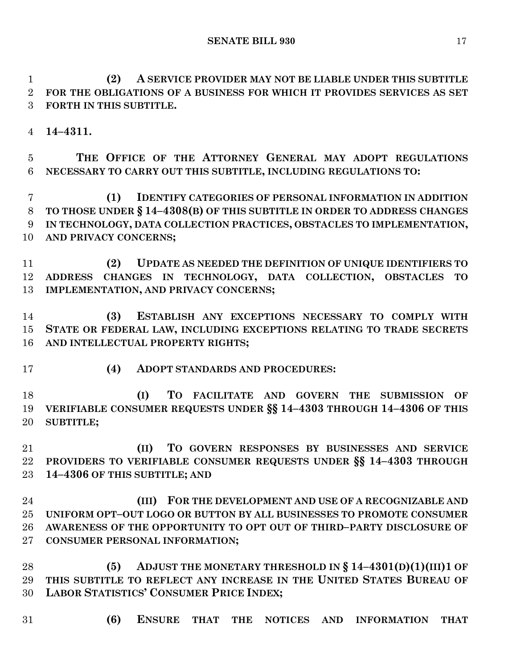**SENATE BILL 930** 17

 **(2) A SERVICE PROVIDER MAY NOT BE LIABLE UNDER THIS SUBTITLE FOR THE OBLIGATIONS OF A BUSINESS FOR WHICH IT PROVIDES SERVICES AS SET FORTH IN THIS SUBTITLE.**

**14–4311.**

 **THE OFFICE OF THE ATTORNEY GENERAL MAY ADOPT REGULATIONS NECESSARY TO CARRY OUT THIS SUBTITLE, INCLUDING REGULATIONS TO:**

 **(1) IDENTIFY CATEGORIES OF PERSONAL INFORMATION IN ADDITION TO THOSE UNDER § 14–4308(B) OF THIS SUBTITLE IN ORDER TO ADDRESS CHANGES IN TECHNOLOGY, DATA COLLECTION PRACTICES, OBSTACLES TO IMPLEMENTATION, AND PRIVACY CONCERNS;**

 **(2) UPDATE AS NEEDED THE DEFINITION OF UNIQUE IDENTIFIERS TO ADDRESS CHANGES IN TECHNOLOGY, DATA COLLECTION, OBSTACLES TO IMPLEMENTATION, AND PRIVACY CONCERNS;**

 **(3) ESTABLISH ANY EXCEPTIONS NECESSARY TO COMPLY WITH STATE OR FEDERAL LAW, INCLUDING EXCEPTIONS RELATING TO TRADE SECRETS AND INTELLECTUAL PROPERTY RIGHTS;**

**(4) ADOPT STANDARDS AND PROCEDURES:**

 **(I) TO FACILITATE AND GOVERN THE SUBMISSION OF VERIFIABLE CONSUMER REQUESTS UNDER §§ 14–4303 THROUGH 14–4306 OF THIS SUBTITLE;**

 **(II) TO GOVERN RESPONSES BY BUSINESSES AND SERVICE PROVIDERS TO VERIFIABLE CONSUMER REQUESTS UNDER §§ 14–4303 THROUGH 14–4306 OF THIS SUBTITLE; AND**

 **(III) FOR THE DEVELOPMENT AND USE OF A RECOGNIZABLE AND UNIFORM OPT–OUT LOGO OR BUTTON BY ALL BUSINESSES TO PROMOTE CONSUMER AWARENESS OF THE OPPORTUNITY TO OPT OUT OF THIRD–PARTY DISCLOSURE OF CONSUMER PERSONAL INFORMATION;**

 **(5) ADJUST THE MONETARY THRESHOLD IN § 14–4301(D)(1)(III)1 OF THIS SUBTITLE TO REFLECT ANY INCREASE IN THE UNITED STATES BUREAU OF LABOR STATISTICS' CONSUMER PRICE INDEX;**

**(6) ENSURE THAT THE NOTICES AND INFORMATION THAT**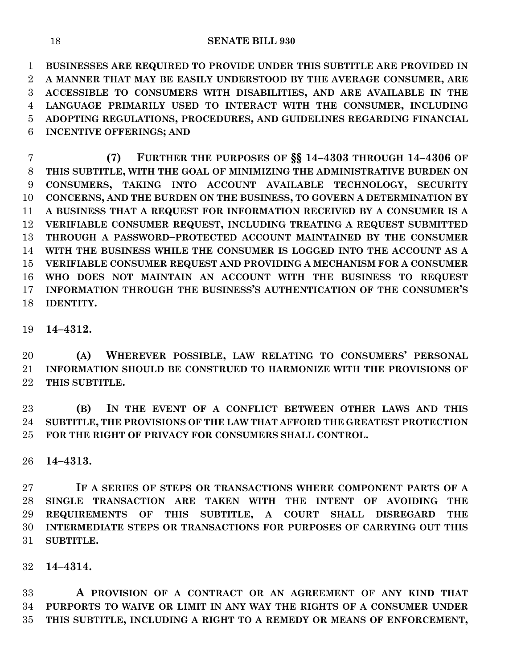**BUSINESSES ARE REQUIRED TO PROVIDE UNDER THIS SUBTITLE ARE PROVIDED IN A MANNER THAT MAY BE EASILY UNDERSTOOD BY THE AVERAGE CONSUMER, ARE ACCESSIBLE TO CONSUMERS WITH DISABILITIES, AND ARE AVAILABLE IN THE LANGUAGE PRIMARILY USED TO INTERACT WITH THE CONSUMER, INCLUDING ADOPTING REGULATIONS, PROCEDURES, AND GUIDELINES REGARDING FINANCIAL INCENTIVE OFFERINGS; AND**

 **(7) FURTHER THE PURPOSES OF §§ 14–4303 THROUGH 14–4306 OF THIS SUBTITLE, WITH THE GOAL OF MINIMIZING THE ADMINISTRATIVE BURDEN ON CONSUMERS, TAKING INTO ACCOUNT AVAILABLE TECHNOLOGY, SECURITY CONCERNS, AND THE BURDEN ON THE BUSINESS, TO GOVERN A DETERMINATION BY A BUSINESS THAT A REQUEST FOR INFORMATION RECEIVED BY A CONSUMER IS A VERIFIABLE CONSUMER REQUEST, INCLUDING TREATING A REQUEST SUBMITTED THROUGH A PASSWORD–PROTECTED ACCOUNT MAINTAINED BY THE CONSUMER WITH THE BUSINESS WHILE THE CONSUMER IS LOGGED INTO THE ACCOUNT AS A VERIFIABLE CONSUMER REQUEST AND PROVIDING A MECHANISM FOR A CONSUMER WHO DOES NOT MAINTAIN AN ACCOUNT WITH THE BUSINESS TO REQUEST INFORMATION THROUGH THE BUSINESS'S AUTHENTICATION OF THE CONSUMER'S IDENTITY.**

# **14–4312.**

 **(A) WHEREVER POSSIBLE, LAW RELATING TO CONSUMERS' PERSONAL INFORMATION SHOULD BE CONSTRUED TO HARMONIZE WITH THE PROVISIONS OF THIS SUBTITLE.**

 **(B) IN THE EVENT OF A CONFLICT BETWEEN OTHER LAWS AND THIS SUBTITLE, THE PROVISIONS OF THE LAW THAT AFFORD THE GREATEST PROTECTION FOR THE RIGHT OF PRIVACY FOR CONSUMERS SHALL CONTROL.**

**14–4313.**

 **IF A SERIES OF STEPS OR TRANSACTIONS WHERE COMPONENT PARTS OF A SINGLE TRANSACTION ARE TAKEN WITH THE INTENT OF AVOIDING THE REQUIREMENTS OF THIS SUBTITLE, A COURT SHALL DISREGARD THE INTERMEDIATE STEPS OR TRANSACTIONS FOR PURPOSES OF CARRYING OUT THIS SUBTITLE.**

**14–4314.**

 **A PROVISION OF A CONTRACT OR AN AGREEMENT OF ANY KIND THAT PURPORTS TO WAIVE OR LIMIT IN ANY WAY THE RIGHTS OF A CONSUMER UNDER THIS SUBTITLE, INCLUDING A RIGHT TO A REMEDY OR MEANS OF ENFORCEMENT,**